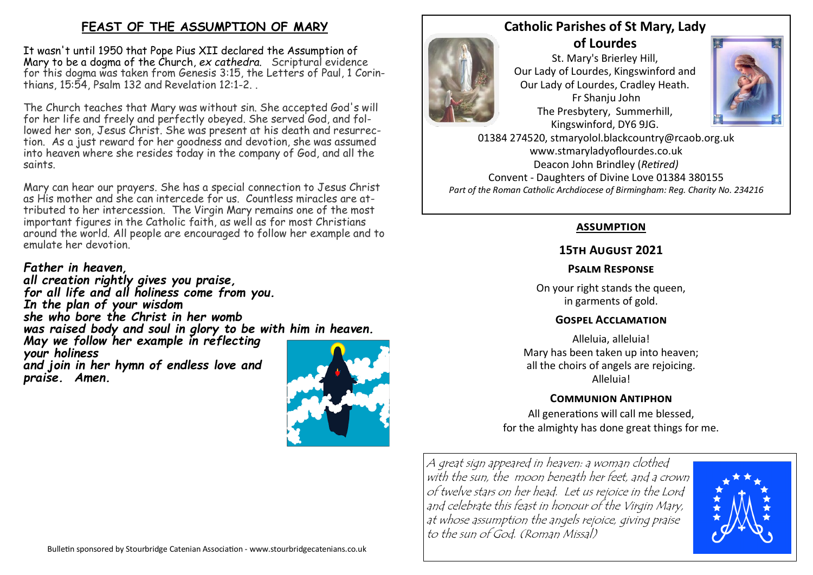## **FEAST OF THE ASSUMPTION OF MARY**

It wasn't until 1950 that Pope Pius XII declared the Assumption of Mary to be a dogma of the Church, *ex cathedra*. Scriptural evidence for this dogma was taken from Genesis 3:15, the Letters of Paul, 1 Corinthians, 15:54, Psalm 132 and Revelation 12:1-2. .

The Church teaches that Mary was without sin. She accepted God's will for her life and freely and perfectly obeyed. She served God, and followed her son, Jesus Christ. She was present at his death and resurrection. As a just reward for her goodness and devotion, she was assumed into heaven where she resides today in the company of God, and all the saints.

Mary can hear our prayers. She has a special connection to Jesus Christ as His mother and she can intercede for us. Countless miracles are attributed to her intercession. The Virgin Mary remains one of the most important figures in the Catholic faith, as well as for most Christians around the world. All people are encouraged to follow her example and to emulate her devotion.

# *Father in heaven,*

*all creation rightly gives you praise, for all life and all holiness come from you. In the plan of your wisdom she who bore the Christ in her womb was raised body and soul in glory to be with him in heaven. May we follow her example in reflecting your holiness and join in her hymn of endless love and praise. Amen.*



### **Catholic Parishes of St Mary, Lady of Lourdes**

Fr Shanju John

St. Mary's Brierley Hill, Our Lady of Lourdes, Kingswinford and Our Lady of Lourdes, Cradley Heath. The Presbytery, Summerhill, Kingswinford, DY6 9JG.



01384 274520, stmaryolol.blackcountry@rcaob.org.uk www.stmaryladyoflourdes.co.uk Deacon John Brindley (*Retired)* Convent - Daughters of Divine Love 01384 380155 *Part of the Roman Catholic Archdiocese of Birmingham: Reg. Charity No. 234216*

### **assumption**

## **15th August 2021**

## **Psalm Response**

On your right stands the queen, in garments of gold.

### **Gospel Acclamation**

Alleluia, alleluia! Mary has been taken up into heaven; all the choirs of angels are rejoicing. Alleluia!

# **Communion Antiphon**

All generations will call me blessed, for the almighty has done great things for me.

A great sign appeared in heaven: a woman clothed with the sun, the moon beneath her feet, and a crown of twelve stars on her head. Let us rejoice in the Lord and celebrate this feast in honour of the Virgin Mary, at whose assumption the angels rejoice, giving praise to the sun of God. (Roman Missal)